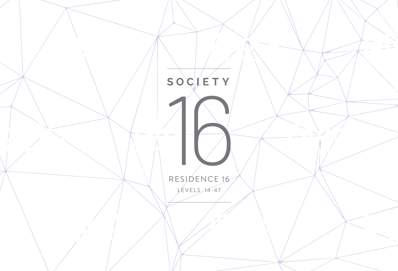